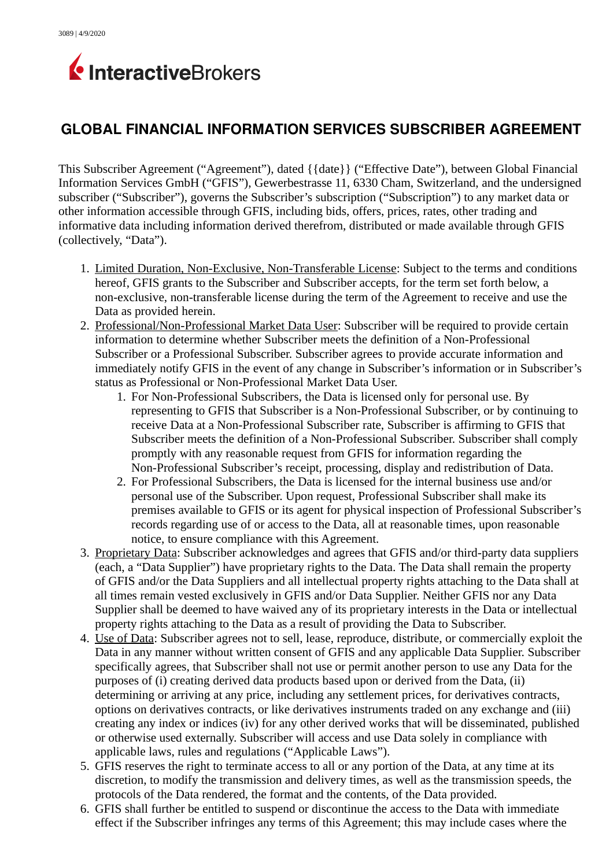

## **GLOBAL FINANCIAL INFORMATION SERVICES SUBSCRIBER AGREEMENT**

This Subscriber Agreement ("Agreement"), dated {{date}} ("Effective Date"), between Global Financial Information Services GmbH ("GFIS"), Gewerbestrasse 11, 6330 Cham, Switzerland, and the undersigned subscriber ("Subscriber"), governs the Subscriber's subscription ("Subscription") to any market data or other information accessible through GFIS, including bids, offers, prices, rates, other trading and informative data including information derived therefrom, distributed or made available through GFIS (collectively, "Data").

- 1. Limited Duration, Non-Exclusive, Non-Transferable License: Subject to the terms and conditions hereof, GFIS grants to the Subscriber and Subscriber accepts, for the term set forth below, a non-exclusive, non-transferable license during the term of the Agreement to receive and use the Data as provided herein.
- 2. Professional/Non-Professional Market Data User: Subscriber will be required to provide certain information to determine whether Subscriber meets the definition of a Non-Professional Subscriber or a Professional Subscriber. Subscriber agrees to provide accurate information and immediately notify GFIS in the event of any change in Subscriber's information or in Subscriber's status as Professional or Non-Professional Market Data User.
	- 1. For Non-Professional Subscribers, the Data is licensed only for personal use. By representing to GFIS that Subscriber is a Non-Professional Subscriber, or by continuing to receive Data at a Non-Professional Subscriber rate, Subscriber is affirming to GFIS that Subscriber meets the definition of a Non-Professional Subscriber. Subscriber shall comply promptly with any reasonable request from GFIS for information regarding the Non-Professional Subscriber's receipt, processing, display and redistribution of Data.
	- 2. For Professional Subscribers, the Data is licensed for the internal business use and/or personal use of the Subscriber. Upon request, Professional Subscriber shall make its premises available to GFIS or its agent for physical inspection of Professional Subscriber's records regarding use of or access to the Data, all at reasonable times, upon reasonable notice, to ensure compliance with this Agreement.
- 3. Proprietary Data: Subscriber acknowledges and agrees that GFIS and/or third-party data suppliers (each, a "Data Supplier") have proprietary rights to the Data. The Data shall remain the property of GFIS and/or the Data Suppliers and all intellectual property rights attaching to the Data shall at all times remain vested exclusively in GFIS and/or Data Supplier. Neither GFIS nor any Data Supplier shall be deemed to have waived any of its proprietary interests in the Data or intellectual property rights attaching to the Data as a result of providing the Data to Subscriber.
- 4. Use of Data: Subscriber agrees not to sell, lease, reproduce, distribute, or commercially exploit the Data in any manner without written consent of GFIS and any applicable Data Supplier. Subscriber specifically agrees, that Subscriber shall not use or permit another person to use any Data for the purposes of (i) creating derived data products based upon or derived from the Data, (ii) determining or arriving at any price, including any settlement prices, for derivatives contracts, options on derivatives contracts, or like derivatives instruments traded on any exchange and (iii) creating any index or indices (iv) for any other derived works that will be disseminated, published or otherwise used externally. Subscriber will access and use Data solely in compliance with applicable laws, rules and regulations ("Applicable Laws").
- 5. GFIS reserves the right to terminate access to all or any portion of the Data, at any time at its discretion, to modify the transmission and delivery times, as well as the transmission speeds, the protocols of the Data rendered, the format and the contents, of the Data provided.
- 6. GFIS shall further be entitled to suspend or discontinue the access to the Data with immediate effect if the Subscriber infringes any terms of this Agreement; this may include cases where the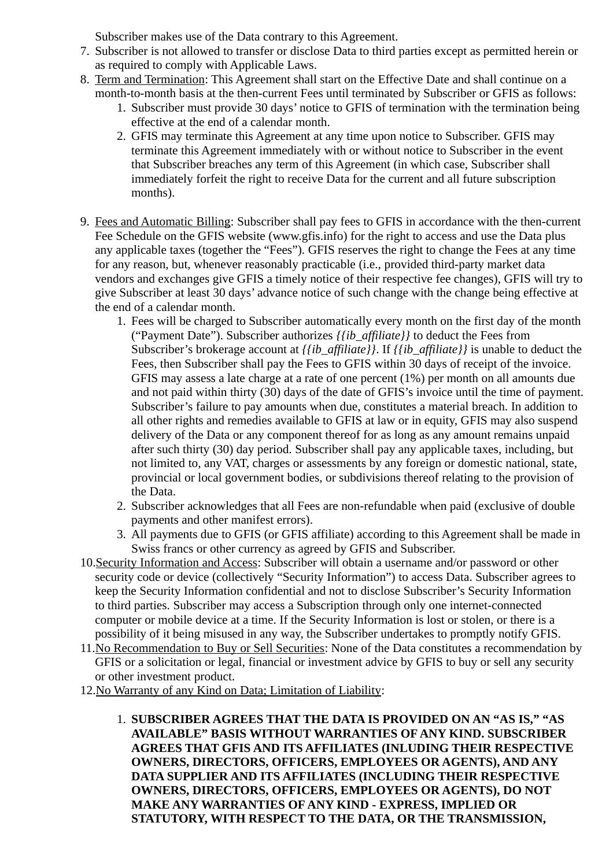Subscriber makes use of the Data contrary to this Agreement.

- 7. Subscriber is not allowed to transfer or disclose Data to third parties except as permitted herein or as required to comply with Applicable Laws.
- 8. Term and Termination: This Agreement shall start on the Effective Date and shall continue on a month-to-month basis at the then-current Fees until terminated by Subscriber or GFIS as follows:
	- 1. Subscriber must provide 30 days' notice to GFIS of termination with the termination being effective at the end of a calendar month.
	- 2. GFIS may terminate this Agreement at any time upon notice to Subscriber. GFIS may terminate this Agreement immediately with or without notice to Subscriber in the event that Subscriber breaches any term of this Agreement (in which case, Subscriber shall immediately forfeit the right to receive Data for the current and all future subscription months).
- 9. Fees and Automatic Billing: Subscriber shall pay fees to GFIS in accordance with the then-current Fee Schedule on the GFIS website (www.gfis.info) for the right to access and use the Data plus any applicable taxes (together the "Fees"). GFIS reserves the right to change the Fees at any time for any reason, but, whenever reasonably practicable (i.e., provided third-party market data vendors and exchanges give GFIS a timely notice of their respective fee changes), GFIS will try to give Subscriber at least 30 days' advance notice of such change with the change being effective at the end of a calendar month.
	- 1. Fees will be charged to Subscriber automatically every month on the first day of the month ("Payment Date"). Subscriber authorizes *{{ib\_affiliate}}* to deduct the Fees from Subscriber's brokerage account at *{{ib\_affiliate}}*. If *{{ib\_affiliate}}* is unable to deduct the Fees, then Subscriber shall pay the Fees to GFIS within 30 days of receipt of the invoice. GFIS may assess a late charge at a rate of one percent (1%) per month on all amounts due and not paid within thirty (30) days of the date of GFIS's invoice until the time of payment. Subscriber's failure to pay amounts when due, constitutes a material breach. In addition to all other rights and remedies available to GFIS at law or in equity, GFIS may also suspend delivery of the Data or any component thereof for as long as any amount remains unpaid after such thirty (30) day period. Subscriber shall pay any applicable taxes, including, but not limited to, any VAT, charges or assessments by any foreign or domestic national, state, provincial or local government bodies, or subdivisions thereof relating to the provision of the Data.
	- 2. Subscriber acknowledges that all Fees are non-refundable when paid (exclusive of double payments and other manifest errors).
	- 3. All payments due to GFIS (or GFIS affiliate) according to this Agreement shall be made in Swiss francs or other currency as agreed by GFIS and Subscriber.
- 10.Security Information and Access: Subscriber will obtain a username and/or password or other security code or device (collectively "Security Information") to access Data. Subscriber agrees to keep the Security Information confidential and not to disclose Subscriber's Security Information to third parties. Subscriber may access a Subscription through only one internet-connected computer or mobile device at a time. If the Security Information is lost or stolen, or there is a possibility of it being misused in any way, the Subscriber undertakes to promptly notify GFIS.
- 11.No Recommendation to Buy or Sell Securities: None of the Data constitutes a recommendation by GFIS or a solicitation or legal, financial or investment advice by GFIS to buy or sell any security or other investment product.
- 12.No Warranty of any Kind on Data; Limitation of Liability:
	- 1. **SUBSCRIBER AGREES THAT THE DATA IS PROVIDED ON AN "AS IS," "AS AVAILABLE" BASIS WITHOUT WARRANTIES OF ANY KIND. SUBSCRIBER AGREES THAT GFIS AND ITS AFFILIATES (INLUDING THEIR RESPECTIVE OWNERS, DIRECTORS, OFFICERS, EMPLOYEES OR AGENTS), AND ANY DATA SUPPLIER AND ITS AFFILIATES (INCLUDING THEIR RESPECTIVE OWNERS, DIRECTORS, OFFICERS, EMPLOYEES OR AGENTS), DO NOT MAKE ANY WARRANTIES OF ANY KIND - EXPRESS, IMPLIED OR STATUTORY, WITH RESPECT TO THE DATA, OR THE TRANSMISSION,**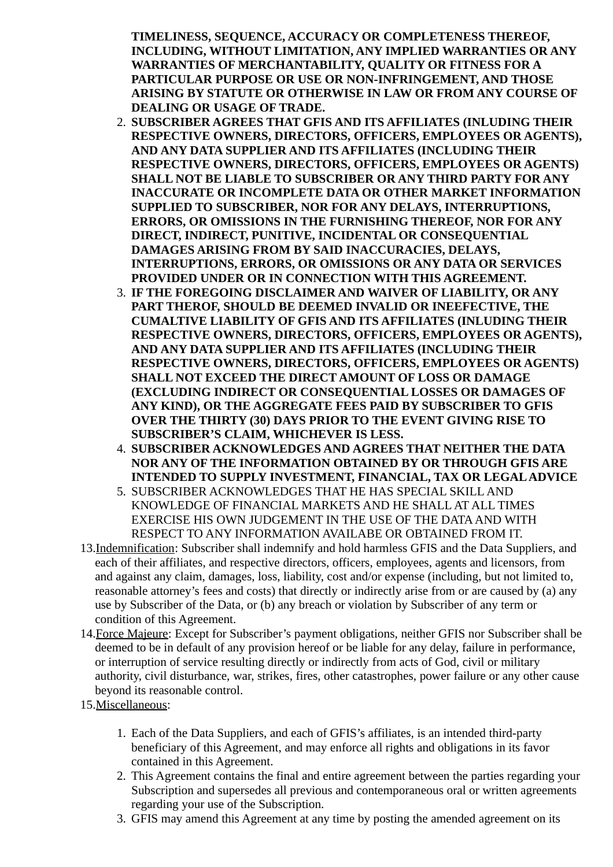**TIMELINESS, SEQUENCE, ACCURACY OR COMPLETENESS THEREOF, INCLUDING, WITHOUT LIMITATION, ANY IMPLIED WARRANTIES OR ANY WARRANTIES OF MERCHANTABILITY, QUALITY OR FITNESS FOR A PARTICULAR PURPOSE OR USE OR NON-INFRINGEMENT, AND THOSE ARISING BY STATUTE OR OTHERWISE IN LAW OR FROM ANY COURSE OF DEALING OR USAGE OF TRADE.** 

- 2. **SUBSCRIBER AGREES THAT GFIS AND ITS AFFILIATES (INLUDING THEIR RESPECTIVE OWNERS, DIRECTORS, OFFICERS, EMPLOYEES OR AGENTS), AND ANY DATA SUPPLIER AND ITS AFFILIATES (INCLUDING THEIR RESPECTIVE OWNERS, DIRECTORS, OFFICERS, EMPLOYEES OR AGENTS) SHALL NOT BE LIABLE TO SUBSCRIBER OR ANY THIRD PARTY FOR ANY INACCURATE OR INCOMPLETE DATA OR OTHER MARKET INFORMATION SUPPLIED TO SUBSCRIBER, NOR FOR ANY DELAYS, INTERRUPTIONS, ERRORS, OR OMISSIONS IN THE FURNISHING THEREOF, NOR FOR ANY DIRECT, INDIRECT, PUNITIVE, INCIDENTAL OR CONSEQUENTIAL DAMAGES ARISING FROM BY SAID INACCURACIES, DELAYS, INTERRUPTIONS, ERRORS, OR OMISSIONS OR ANY DATA OR SERVICES PROVIDED UNDER OR IN CONNECTION WITH THIS AGREEMENT.**
- 3. **IF THE FOREGOING DISCLAIMER AND WAIVER OF LIABILITY, OR ANY PART THEROF, SHOULD BE DEEMED INVALID OR INEEFECTIVE, THE CUMALTIVE LIABILITY OF GFIS AND ITS AFFILIATES (INLUDING THEIR RESPECTIVE OWNERS, DIRECTORS, OFFICERS, EMPLOYEES OR AGENTS), AND ANY DATA SUPPLIER AND ITS AFFILIATES (INCLUDING THEIR RESPECTIVE OWNERS, DIRECTORS, OFFICERS, EMPLOYEES OR AGENTS) SHALL NOT EXCEED THE DIRECT AMOUNT OF LOSS OR DAMAGE (EXCLUDING INDIRECT OR CONSEQUENTIAL LOSSES OR DAMAGES OF ANY KIND), OR THE AGGREGATE FEES PAID BY SUBSCRIBER TO GFIS OVER THE THIRTY (30) DAYS PRIOR TO THE EVENT GIVING RISE TO SUBSCRIBER'S CLAIM, WHICHEVER IS LESS.**
- 4. **SUBSCRIBER ACKNOWLEDGES AND AGREES THAT NEITHER THE DATA NOR ANY OF THE INFORMATION OBTAINED BY OR THROUGH GFIS ARE INTENDED TO SUPPLY INVESTMENT, FINANCIAL, TAX OR LEGAL ADVICE**
- 5. SUBSCRIBER ACKNOWLEDGES THAT HE HAS SPECIAL SKILL AND KNOWLEDGE OF FINANCIAL MARKETS AND HE SHALL AT ALL TIMES EXERCISE HIS OWN JUDGEMENT IN THE USE OF THE DATA AND WITH RESPECT TO ANY INFORMATION AVAILABE OR OBTAINED FROM IT.
- 13.Indemnification: Subscriber shall indemnify and hold harmless GFIS and the Data Suppliers, and each of their affiliates, and respective directors, officers, employees, agents and licensors, from and against any claim, damages, loss, liability, cost and/or expense (including, but not limited to, reasonable attorney's fees and costs) that directly or indirectly arise from or are caused by (a) any use by Subscriber of the Data, or (b) any breach or violation by Subscriber of any term or condition of this Agreement.
- 14.Force Majeure: Except for Subscriber's payment obligations, neither GFIS nor Subscriber shall be deemed to be in default of any provision hereof or be liable for any delay, failure in performance, or interruption of service resulting directly or indirectly from acts of God, civil or military authority, civil disturbance, war, strikes, fires, other catastrophes, power failure or any other cause beyond its reasonable control.
- 15.Miscellaneous:
	- 1. Each of the Data Suppliers, and each of GFIS's affiliates, is an intended third-party beneficiary of this Agreement, and may enforce all rights and obligations in its favor contained in this Agreement.
	- 2. This Agreement contains the final and entire agreement between the parties regarding your Subscription and supersedes all previous and contemporaneous oral or written agreements regarding your use of the Subscription.
	- 3. GFIS may amend this Agreement at any time by posting the amended agreement on its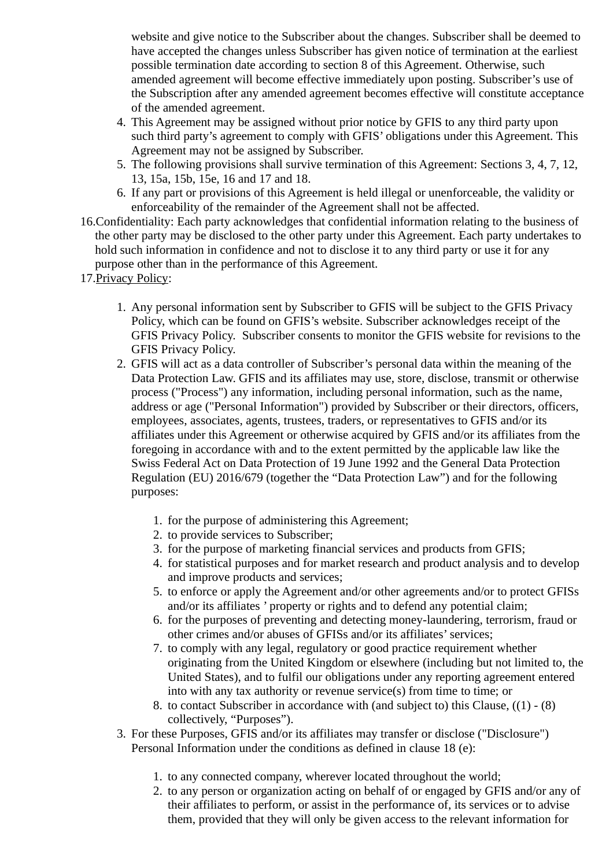website and give notice to the Subscriber about the changes. Subscriber shall be deemed to have accepted the changes unless Subscriber has given notice of termination at the earliest possible termination date according to section 8 of this Agreement. Otherwise, such amended agreement will become effective immediately upon posting. Subscriber's use of the Subscription after any amended agreement becomes effective will constitute acceptance of the amended agreement.

- 4. This Agreement may be assigned without prior notice by GFIS to any third party upon such third party's agreement to comply with GFIS' obligations under this Agreement. This Agreement may not be assigned by Subscriber.
- 5. The following provisions shall survive termination of this Agreement: Sections 3, 4, 7, 12, 13, 15a, 15b, 15e, 16 and 17 and 18.
- 6. If any part or provisions of this Agreement is held illegal or unenforceable, the validity or enforceability of the remainder of the Agreement shall not be affected.
- 16.Confidentiality: Each party acknowledges that confidential information relating to the business of the other party may be disclosed to the other party under this Agreement. Each party undertakes to hold such information in confidence and not to disclose it to any third party or use it for any purpose other than in the performance of this Agreement.
- 17.Privacy Policy:
	- 1. Any personal information sent by Subscriber to GFIS will be subject to the GFIS Privacy Policy, which can be found on GFIS's website. Subscriber acknowledges receipt of the GFIS Privacy Policy. Subscriber consents to monitor the GFIS website for revisions to the GFIS Privacy Policy.
	- 2. GFIS will act as a data controller of Subscriber's personal data within the meaning of the Data Protection Law. GFIS and its affiliates may use, store, disclose, transmit or otherwise process ("Process") any information, including personal information, such as the name, address or age ("Personal Information") provided by Subscriber or their directors, officers, employees, associates, agents, trustees, traders, or representatives to GFIS and/or its affiliates under this Agreement or otherwise acquired by GFIS and/or its affiliates from the foregoing in accordance with and to the extent permitted by the applicable law like the Swiss Federal Act on Data Protection of 19 June 1992 and the General Data Protection Regulation (EU) 2016/679 (together the "Data Protection Law") and for the following purposes:
		- 1. for the purpose of administering this Agreement;
		- 2. to provide services to Subscriber;
		- 3. for the purpose of marketing financial services and products from GFIS;
		- 4. for statistical purposes and for market research and product analysis and to develop and improve products and services;
		- 5. to enforce or apply the Agreement and/or other agreements and/or to protect GFISs and/or its affiliates ' property or rights and to defend any potential claim;
		- 6. for the purposes of preventing and detecting money-laundering, terrorism, fraud or other crimes and/or abuses of GFISs and/or its affiliates' services;
		- 7. to comply with any legal, regulatory or good practice requirement whether originating from the United Kingdom or elsewhere (including but not limited to, the United States), and to fulfil our obligations under any reporting agreement entered into with any tax authority or revenue service(s) from time to time; or
		- 8. to contact Subscriber in accordance with (and subject to) this Clause, ((1) (8) collectively, "Purposes").
	- 3. For these Purposes, GFIS and/or its affiliates may transfer or disclose ("Disclosure") Personal Information under the conditions as defined in clause 18 (e):
		- 1. to any connected company, wherever located throughout the world;
		- 2. to any person or organization acting on behalf of or engaged by GFIS and/or any of their affiliates to perform, or assist in the performance of, its services or to advise them, provided that they will only be given access to the relevant information for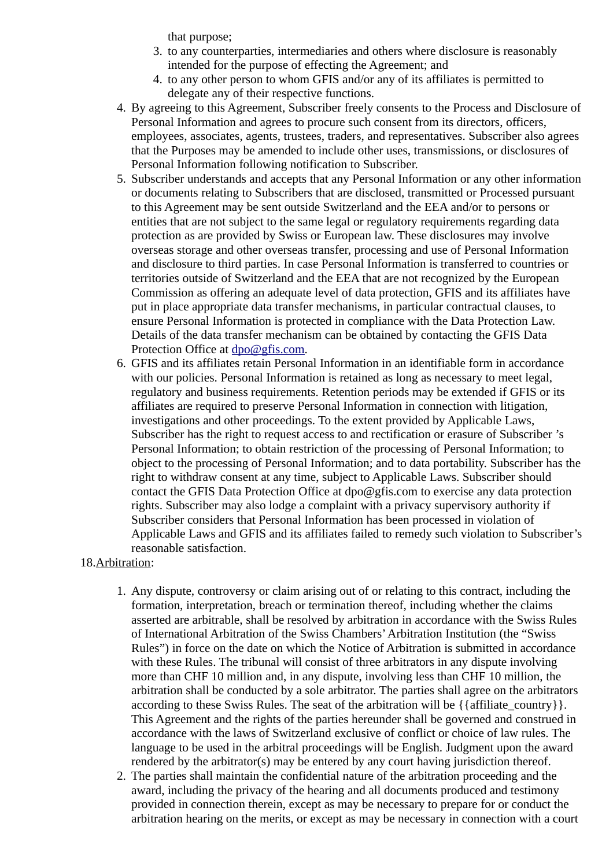that purpose;

- 3. to any counterparties, intermediaries and others where disclosure is reasonably intended for the purpose of effecting the Agreement; and
- 4. to any other person to whom GFIS and/or any of its affiliates is permitted to delegate any of their respective functions.
- 4. By agreeing to this Agreement, Subscriber freely consents to the Process and Disclosure of Personal Information and agrees to procure such consent from its directors, officers, employees, associates, agents, trustees, traders, and representatives. Subscriber also agrees that the Purposes may be amended to include other uses, transmissions, or disclosures of Personal Information following notification to Subscriber.
- 5. Subscriber understands and accepts that any Personal Information or any other information or documents relating to Subscribers that are disclosed, transmitted or Processed pursuant to this Agreement may be sent outside Switzerland and the EEA and/or to persons or entities that are not subject to the same legal or regulatory requirements regarding data protection as are provided by Swiss or European law. These disclosures may involve overseas storage and other overseas transfer, processing and use of Personal Information and disclosure to third parties. In case Personal Information is transferred to countries or territories outside of Switzerland and the EEA that are not recognized by the European Commission as offering an adequate level of data protection, GFIS and its affiliates have put in place appropriate data transfer mechanisms, in particular contractual clauses, to ensure Personal Information is protected in compliance with the Data Protection Law. Details of the data transfer mechanism can be obtained by contacting the GFIS Data Protection Office at [dpo@gfis.com.](mailto:dpo@gfis.com)
- 6. GFIS and its affiliates retain Personal Information in an identifiable form in accordance with our policies. Personal Information is retained as long as necessary to meet legal, regulatory and business requirements. Retention periods may be extended if GFIS or its affiliates are required to preserve Personal Information in connection with litigation, investigations and other proceedings. To the extent provided by Applicable Laws, Subscriber has the right to request access to and rectification or erasure of Subscriber 's Personal Information; to obtain restriction of the processing of Personal Information; to object to the processing of Personal Information; and to data portability. Subscriber has the right to withdraw consent at any time, subject to Applicable Laws. Subscriber should contact the GFIS Data Protection Office at dpo@gfis.com to exercise any data protection rights. Subscriber may also lodge a complaint with a privacy supervisory authority if Subscriber considers that Personal Information has been processed in violation of Applicable Laws and GFIS and its affiliates failed to remedy such violation to Subscriber's reasonable satisfaction.

## 18.Arbitration:

- 1. Any dispute, controversy or claim arising out of or relating to this contract, including the formation, interpretation, breach or termination thereof, including whether the claims asserted are arbitrable, shall be resolved by arbitration in accordance with the Swiss Rules of International Arbitration of the Swiss Chambers' Arbitration Institution (the "Swiss Rules") in force on the date on which the Notice of Arbitration is submitted in accordance with these Rules. The tribunal will consist of three arbitrators in any dispute involving more than CHF 10 million and, in any dispute, involving less than CHF 10 million, the arbitration shall be conducted by a sole arbitrator. The parties shall agree on the arbitrators according to these Swiss Rules. The seat of the arbitration will be  $\{\{\text{affiliate country}\}\}\$ . This Agreement and the rights of the parties hereunder shall be governed and construed in accordance with the laws of Switzerland exclusive of conflict or choice of law rules. The language to be used in the arbitral proceedings will be English. Judgment upon the award rendered by the arbitrator(s) may be entered by any court having jurisdiction thereof.
- 2. The parties shall maintain the confidential nature of the arbitration proceeding and the award, including the privacy of the hearing and all documents produced and testimony provided in connection therein, except as may be necessary to prepare for or conduct the arbitration hearing on the merits, or except as may be necessary in connection with a court